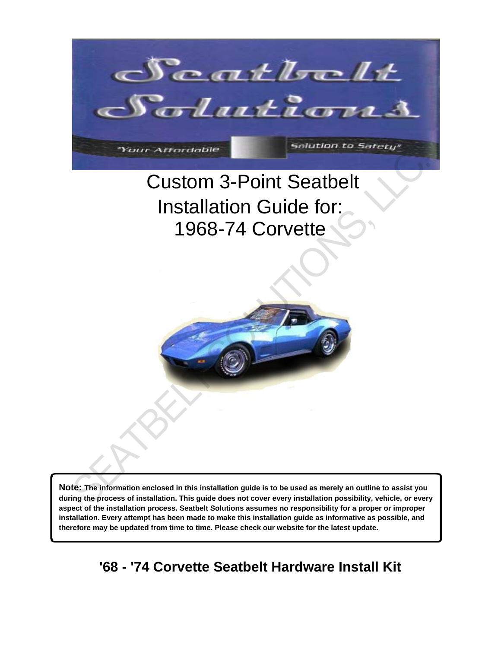

## Custom 3-Point Seatbelt Installation Guide for: 1968-74 Corvette



**Note: The information enclosed in this installation guide is to be used as merely an outline to assist you during the process of installation. This guide does not cover every installation possibility, vehicle, or every aspect of the installation process. Seatbelt Solutions assumes no responsibility for a proper or improper installation. Every attempt has been made to make this installation guide as informative as possible, and therefore may be updated from time to time. Please check our website for the latest update.** 

**'68 - '74 Corvette Seatbelt Hardware Install Kit**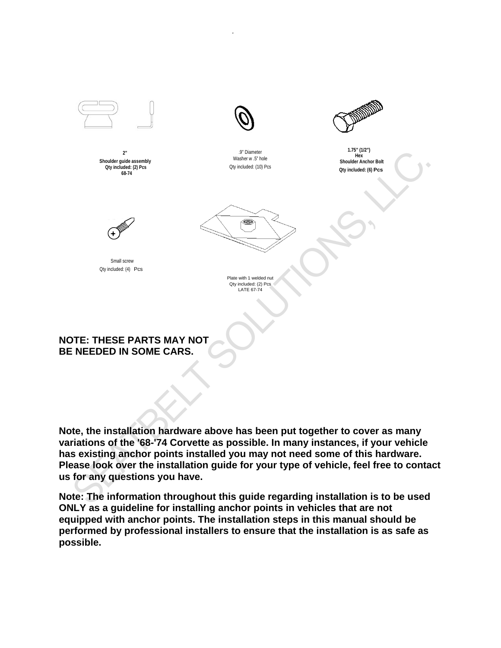

**Note, the installation hardware above has been put together to cover as many variations of the '68-'74 Corvette as possible. In many instances, if your vehicle has existing anchor points installed you may not need some of this hardware. Please look over the installation guide for your type of vehicle, feel free to contact us for any questions you have.**

**Note: The information throughout this guide regarding installation is to be used ONLY as a guideline for installing anchor points in vehicles that are not equipped with anchor points. The installation steps in this manual should be performed by professional installers to ensure that the installation is as safe as possible.**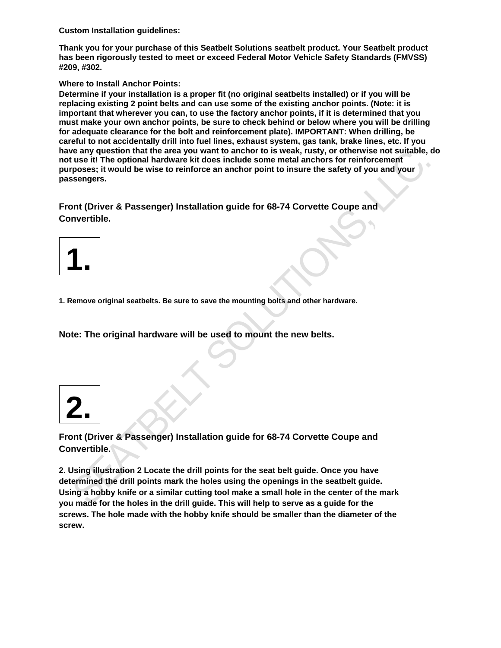**Custom Installation guidelines:**

**Thank you for your purchase of this Seatbelt Solutions seatbelt product. Your Seatbelt product has been rigorously tested to meet or exceed Federal Motor Vehicle Safety Standards (FMVSS) #209, #302.** 

#### **Where to Install Anchor Points:**

**Determine if your installation is a proper fit (no original seatbelts installed) or if you will be replacing existing 2 point belts and can use some of the existing anchor points. (Note: it is important that wherever you can, to use the factory anchor points, if it is determined that you must make your own anchor points, be sure to check behind or below where you will be drilling for adequate clearance for the bolt and reinforcement plate). IMPORTANT: When drilling, be careful to not accidentally drill into fuel lines, exhaust system, gas tank, brake lines, etc. If you have any question that the area you want to anchor to is weak, rusty, or otherwise not suitable, do not use it! The optional hardware kit does include some metal anchors for reinforcement purposes; it would be wise to reinforce an anchor point to insure the safety of you and your passengers.** 

**Front (Driver & Passenger) Installation guide for 68-74 Corvette Coupe and Convertible.** 



**1. Remove original seatbelts. Be sure to save the mounting bolts and other hardware.** 

**Note: The original hardware will be used to mount the new belts.** 

**2.**

**Front (Driver & Passenger) Installation guide for 68-74 Corvette Coupe and Convertible.** 

**2. Using illustration 2 Locate the drill points for the seat belt guide. Once you have determined the drill points mark the holes using the openings in the seatbelt guide. Using a hobby knife or a similar cutting tool make a small hole in the center of the mark you made for the holes in the drill guide. This will help to serve as a guide for the screws. The hole made with the hobby knife should be smaller than the diameter of the screw.** e any question hat me area you want to anchor to is weak, fusty, or otherwise not the mark<br>the propose it the optional hardware kit does include some metal anchors for reinforcement<br>seengers, it would be wise to reinforce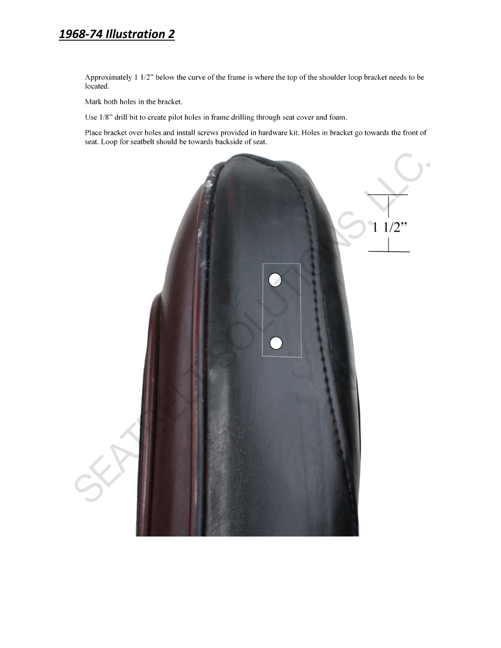## 1968-74 Illustration 2

Approximately 1 1/2" below the curve of the frame is where the top of the shoulder loop bracket needs to be located.

Mark both holes in the bracket.

Use 1/8" drill bit to create pilot holes in frame drilling through seat cover and foam.

Place bracket over holes and install screws provided in hardware kit. Holes in bracket go towards the front of seat. Loop for seatbelt should be towards backside of seat.

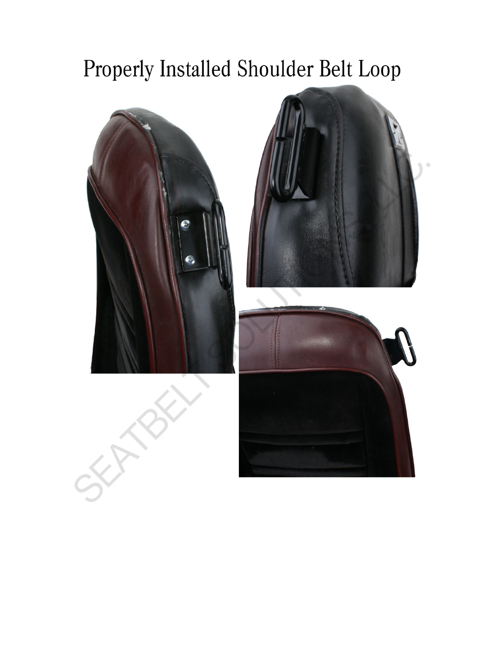# Properly Installed Shoulder Belt Loop



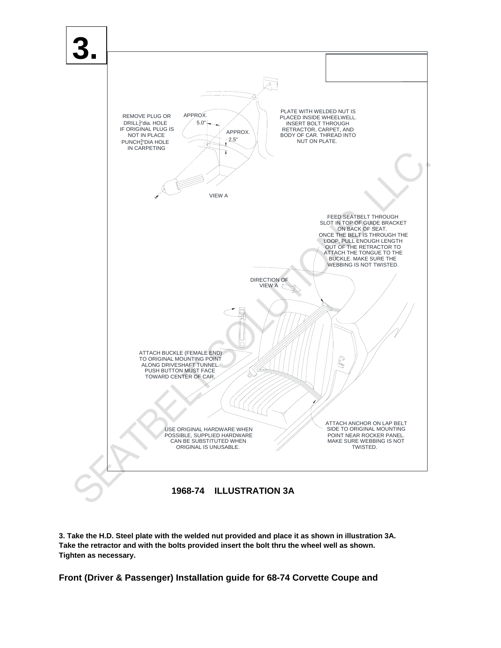

**3. Take the H.D. Steel plate with the welded nut provided and place it as shown in illustration 3A. Take the retractor and with the bolts provided insert the bolt thru the wheel well as shown. Tighten as necessary.** 

**Front (Driver & Passenger) Installation guide for 68-74 Corvette Coupe and**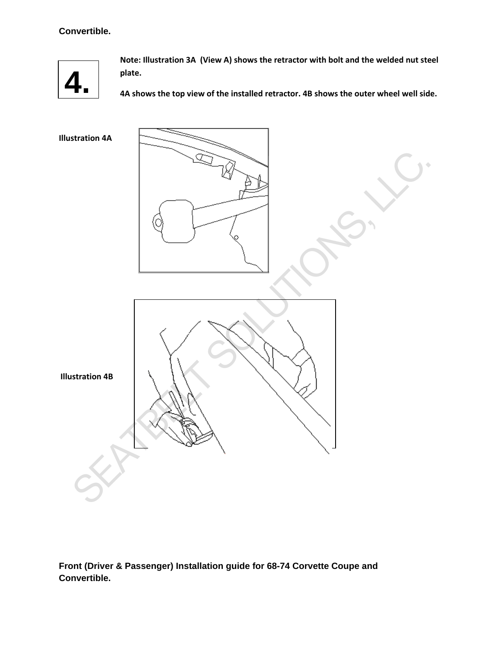### **Convertible.**



**Note: Illustration 3A (View A) shows the retractor with bolt and the welded nut steel plate.** 

**4A shows the top view of the installed retractor. 4B shows the outer wheel well side.** 

**Illustration 4A**



**Front (Driver & Passenger) Installation guide for 68-74 Corvette Coupe and Convertible.**